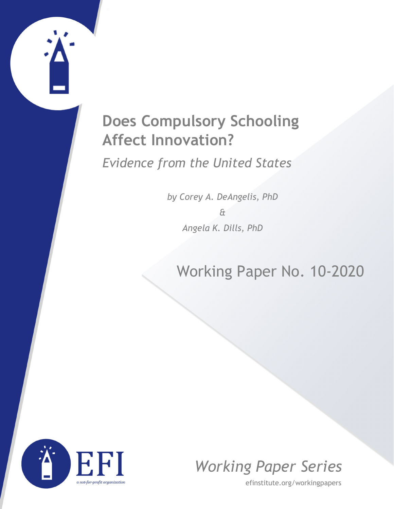# **Does Compulsory Schooling Affect Innovation?**

*Evidence from the United States*

*by Corey A. DeAngelis, PhD & Angela K. Dills, PhD*

# Working Paper No. 10-2020





efinstitute.org/workingpapers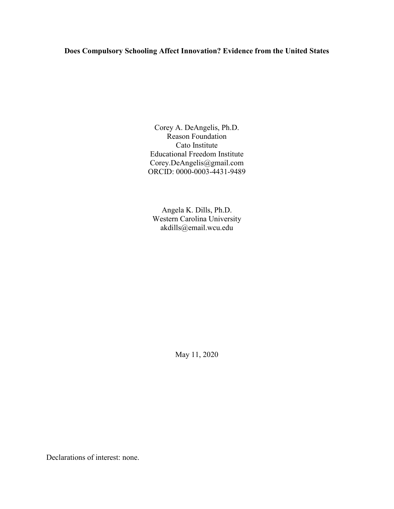# **Does Compulsory Schooling Affect Innovation? Evidence from the United States**

Corey A. DeAngelis, Ph.D. Reason Foundation Cato Institute Educational Freedom Institute Corey.DeAngelis@gmail.com ORCID: 0000-0003-4431-9489

Angela K. Dills, Ph.D. Western Carolina University akdills@email.wcu.edu

May 11, 2020

Declarations of interest: none.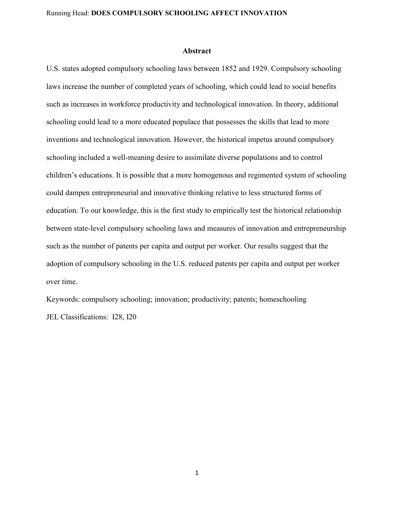#### **Abstract**

U.S. states adopted compulsory schooling laws between 1852 and 1929. Compulsory schooling laws increase the number of completed years of schooling, which could lead to social benefits such as increases in workforce productivity and technological innovation. In theory, additional schooling could lead to a more educated populace that possesses the skills that lead to more inventions and technological innovation. However, the historical impetus around compulsory schooling included a well-meaning desire to assimilate diverse populations and to control children's educations. It is possible that a more homogenous and regimented system of schooling could dampen entrepreneurial and innovative thinking relative to less structured forms of education. To our knowledge, this is the first study to empirically test the historical relationship between state-level compulsory schooling laws and measures of innovation and entrepreneurship such as the number of patents per capita and output per worker. Our results suggest that the adoption of compulsory schooling in the U.S. reduced patents per capita and output per worker over time.

Keywords: compulsory schooling; innovation; productivity; patents; homeschooling JEL Classifications: I28, I20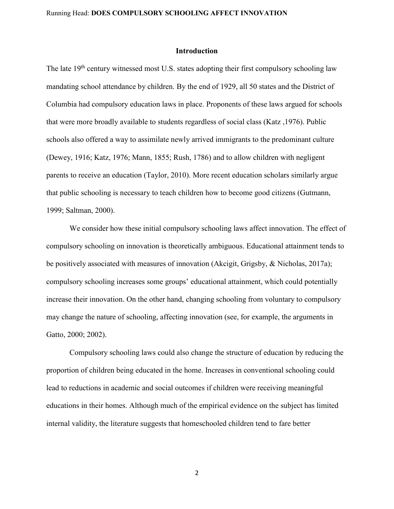#### **Introduction**

The late 19<sup>th</sup> century witnessed most U.S. states adopting their first compulsory schooling law mandating school attendance by children. By the end of 1929, all 50 states and the District of Columbia had compulsory education laws in place. Proponents of these laws argued for schools that were more broadly available to students regardless of social class (Katz ,1976). Public schools also offered a way to assimilate newly arrived immigrants to the predominant culture (Dewey, 1916; Katz, 1976; Mann, 1855; Rush, 1786) and to allow children with negligent parents to receive an education (Taylor, 2010). More recent education scholars similarly argue that public schooling is necessary to teach children how to become good citizens (Gutmann, 1999; Saltman, 2000).

We consider how these initial compulsory schooling laws affect innovation. The effect of compulsory schooling on innovation is theoretically ambiguous. Educational attainment tends to be positively associated with measures of innovation (Akcigit, Grigsby, & Nicholas, 2017a); compulsory schooling increases some groups' educational attainment, which could potentially increase their innovation. On the other hand, changing schooling from voluntary to compulsory may change the nature of schooling, affecting innovation (see, for example, the arguments in Gatto, 2000; 2002).

Compulsory schooling laws could also change the structure of education by reducing the proportion of children being educated in the home. Increases in conventional schooling could lead to reductions in academic and social outcomes if children were receiving meaningful educations in their homes. Although much of the empirical evidence on the subject has limited internal validity, the literature suggests that homeschooled children tend to fare better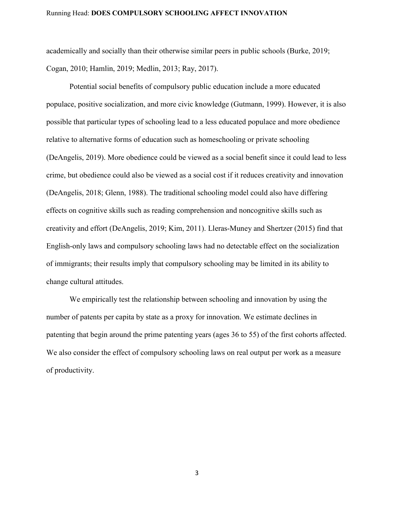academically and socially than their otherwise similar peers in public schools (Burke, 2019; Cogan, 2010; Hamlin, 2019; Medlin, 2013; Ray, 2017).

Potential social benefits of compulsory public education include a more educated populace, positive socialization, and more civic knowledge (Gutmann, 1999). However, it is also possible that particular types of schooling lead to a less educated populace and more obedience relative to alternative forms of education such as homeschooling or private schooling (DeAngelis, 2019). More obedience could be viewed as a social benefit since it could lead to less crime, but obedience could also be viewed as a social cost if it reduces creativity and innovation (DeAngelis, 2018; Glenn, 1988). The traditional schooling model could also have differing effects on cognitive skills such as reading comprehension and noncognitive skills such as creativity and effort (DeAngelis, 2019; Kim, 2011). Lleras-Muney and Shertzer (2015) find that English-only laws and compulsory schooling laws had no detectable effect on the socialization of immigrants; their results imply that compulsory schooling may be limited in its ability to change cultural attitudes.

We empirically test the relationship between schooling and innovation by using the number of patents per capita by state as a proxy for innovation. We estimate declines in patenting that begin around the prime patenting years (ages 36 to 55) of the first cohorts affected. We also consider the effect of compulsory schooling laws on real output per work as a measure of productivity.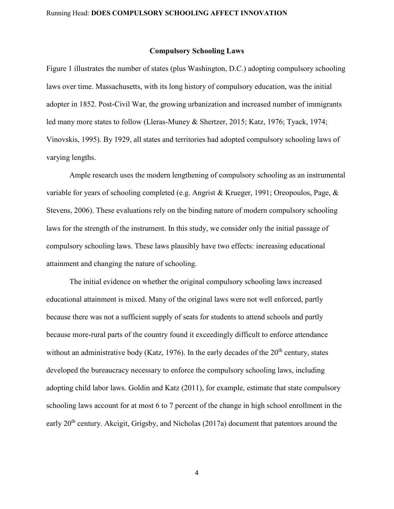#### **Compulsory Schooling Laws**

Figure 1 illustrates the number of states (plus Washington, D.C.) adopting compulsory schooling laws over time. Massachusetts, with its long history of compulsory education, was the initial adopter in 1852. Post-Civil War, the growing urbanization and increased number of immigrants led many more states to follow (Lleras-Muney & Shertzer, 2015; Katz, 1976; Tyack, 1974; Vinovskis, 1995). By 1929, all states and territories had adopted compulsory schooling laws of varying lengths.

Ample research uses the modern lengthening of compulsory schooling as an instrumental variable for years of schooling completed (e.g. Angrist & Krueger, 1991; Oreopoulos, Page, & Stevens, 2006). These evaluations rely on the binding nature of modern compulsory schooling laws for the strength of the instrument. In this study, we consider only the initial passage of compulsory schooling laws. These laws plausibly have two effects: increasing educational attainment and changing the nature of schooling.

The initial evidence on whether the original compulsory schooling laws increased educational attainment is mixed. Many of the original laws were not well enforced, partly because there was not a sufficient supply of seats for students to attend schools and partly because more-rural parts of the country found it exceedingly difficult to enforce attendance without an administrative body (Katz, 1976). In the early decades of the  $20<sup>th</sup>$  century, states developed the bureaucracy necessary to enforce the compulsory schooling laws, including adopting child labor laws. Goldin and Katz (2011), for example, estimate that state compulsory schooling laws account for at most 6 to 7 percent of the change in high school enrollment in the early 20<sup>th</sup> century. Akcigit, Grigsby, and Nicholas (2017a) document that patentors around the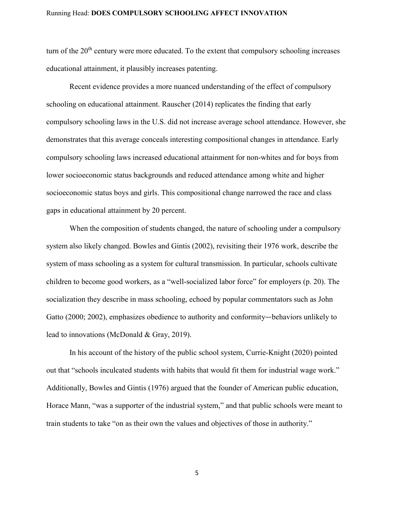turn of the  $20<sup>th</sup>$  century were more educated. To the extent that compulsory schooling increases educational attainment, it plausibly increases patenting.

Recent evidence provides a more nuanced understanding of the effect of compulsory schooling on educational attainment. Rauscher (2014) replicates the finding that early compulsory schooling laws in the U.S. did not increase average school attendance. However, she demonstrates that this average conceals interesting compositional changes in attendance. Early compulsory schooling laws increased educational attainment for non-whites and for boys from lower socioeconomic status backgrounds and reduced attendance among white and higher socioeconomic status boys and girls. This compositional change narrowed the race and class gaps in educational attainment by 20 percent.

When the composition of students changed, the nature of schooling under a compulsory system also likely changed. Bowles and Gintis (2002), revisiting their 1976 work, describe the system of mass schooling as a system for cultural transmission. In particular, schools cultivate children to become good workers, as a "well-socialized labor force" for employers (p. 20). The socialization they describe in mass schooling, echoed by popular commentators such as John Gatto (2000; 2002), emphasizes obedience to authority and conformity—behaviors unlikely to lead to innovations (McDonald & Gray, 2019).

In his account of the history of the public school system, Currie-Knight (2020) pointed out that "schools inculcated students with habits that would fit them for industrial wage work." Additionally, Bowles and Gintis (1976) argued that the founder of American public education, Horace Mann, "was a supporter of the industrial system," and that public schools were meant to train students to take "on as their own the values and objectives of those in authority."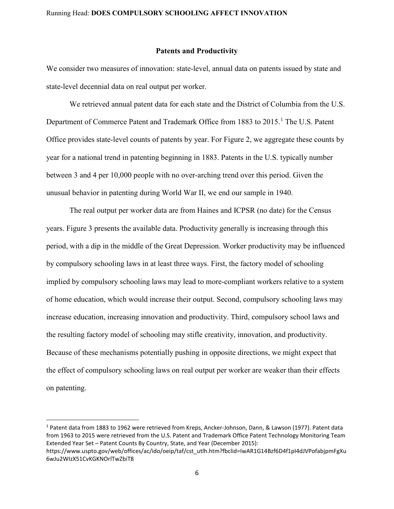#### **Patents and Productivity**

We consider two measures of innovation: state-level, annual data on patents issued by state and state-level decennial data on real output per worker.

We retrieved annual patent data for each state and the District of Columbia from the U.S. Department of Commerce Patent and Trademark Office from [1](#page-7-0)883 to 2015.<sup>1</sup> The U.S. Patent Office provides state-level counts of patents by year. For Figure 2, we aggregate these counts by year for a national trend in patenting beginning in 1883. Patents in the U.S. typically number between 3 and 4 per 10,000 people with no over-arching trend over this period. Given the unusual behavior in patenting during World War II, we end our sample in 1940.

The real output per worker data are from Haines and ICPSR (no date) for the Census years. Figure 3 presents the available data. Productivity generally is increasing through this period, with a dip in the middle of the Great Depression. Worker productivity may be influenced by compulsory schooling laws in at least three ways. First, the factory model of schooling implied by compulsory schooling laws may lead to more-compliant workers relative to a system of home education, which would increase their output. Second, compulsory schooling laws may increase education, increasing innovation and productivity. Third, compulsory school laws and the resulting factory model of schooling may stifle creativity, innovation, and productivity. Because of these mechanisms potentially pushing in opposite directions, we might expect that the effect of compulsory schooling laws on real output per worker are weaker than their effects on patenting.

<span id="page-7-0"></span> <sup>1</sup> Patent data from 1883 to 1962 were retrieved from Kreps, Ancker-Johnson, Dann, & Lawson (1977). Patent data from 1963 to 2015 were retrieved from the U.S. Patent and Trademark Office Patent Technology Monitoring Team Extended Year Set – Patent Counts By Country, State, and Year (December 2015):

https://www.uspto.gov/web/offices/ac/ido/oeip/taf/cst\_utlh.htm?fbclid=IwAR1G14Bzf6D4f1pI4dJVPofabjpmFgXu 6wJu2WIzX51CvKGKNOrlTwZbiT8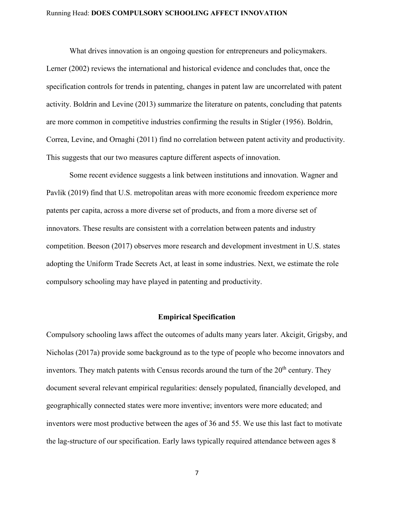What drives innovation is an ongoing question for entrepreneurs and policymakers.

Lerner (2002) reviews the international and historical evidence and concludes that, once the specification controls for trends in patenting, changes in patent law are uncorrelated with patent activity. Boldrin and Levine (2013) summarize the literature on patents, concluding that patents are more common in competitive industries confirming the results in Stigler (1956). Boldrin, Correa, Levine, and Ornaghi (2011) find no correlation between patent activity and productivity. This suggests that our two measures capture different aspects of innovation.

Some recent evidence suggests a link between institutions and innovation. Wagner and Pavlik (2019) find that U.S. metropolitan areas with more economic freedom experience more patents per capita, across a more diverse set of products, and from a more diverse set of innovators. These results are consistent with a correlation between patents and industry competition. Beeson (2017) observes more research and development investment in U.S. states adopting the Uniform Trade Secrets Act, at least in some industries. Next, we estimate the role compulsory schooling may have played in patenting and productivity.

#### **Empirical Specification**

Compulsory schooling laws affect the outcomes of adults many years later. Akcigit, Grigsby, and Nicholas (2017a) provide some background as to the type of people who become innovators and inventors. They match patents with Census records around the turn of the  $20<sup>th</sup>$  century. They document several relevant empirical regularities: densely populated, financially developed, and geographically connected states were more inventive; inventors were more educated; and inventors were most productive between the ages of 36 and 55. We use this last fact to motivate the lag-structure of our specification. Early laws typically required attendance between ages 8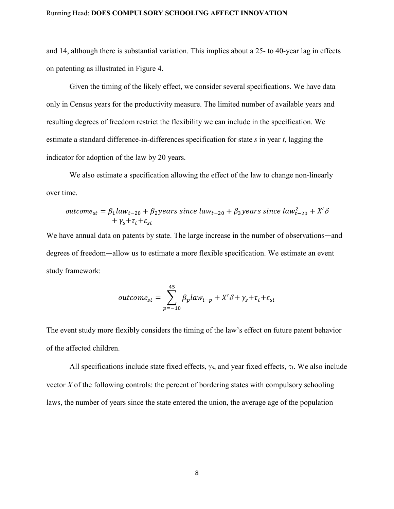and 14, although there is substantial variation. This implies about a 25- to 40-year lag in effects on patenting as illustrated in Figure 4.

Given the timing of the likely effect, we consider several specifications. We have data only in Census years for the productivity measure. The limited number of available years and resulting degrees of freedom restrict the flexibility we can include in the specification. We estimate a standard difference-in-differences specification for state *s* in year *t*, lagging the indicator for adoption of the law by 20 years.

We also estimate a specification allowing the effect of the law to change non-linearly over time.

outcome<sub>st</sub> = 
$$
\beta_1 law_{t-20} + \beta_2 years
$$
 since  $law_{t-20} + \beta_3 years$  since  $law_{t-20}^2 + X'\delta$   
+  $\gamma_s + \tau_t + \varepsilon_{st}$ 

We have annual data on patents by state. The large increase in the number of observations—and degrees of freedom—allow us to estimate a more flexible specification. We estimate an event study framework:

$$
outcome_{st} = \sum_{p=-10}^{45} \beta_p law_{t-p} + X'\delta + \gamma_s + \tau_t + \varepsilon_{st}
$$

The event study more flexibly considers the timing of the law's effect on future patent behavior of the affected children.

All specifications include state fixed effects,  $\gamma_s$ , and year fixed effects,  $\tau_t$ . We also include vector *X* of the following controls: the percent of bordering states with compulsory schooling laws, the number of years since the state entered the union, the average age of the population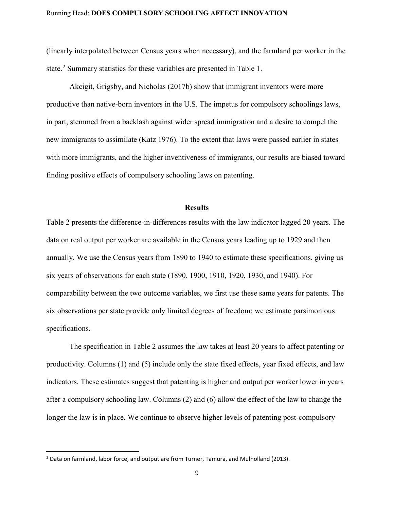(linearly interpolated between Census years when necessary), and the farmland per worker in the state.<sup>[2](#page-10-0)</sup> Summary statistics for these variables are presented in Table 1.

Akcigit, Grigsby, and Nicholas (2017b) show that immigrant inventors were more productive than native-born inventors in the U.S. The impetus for compulsory schoolings laws, in part, stemmed from a backlash against wider spread immigration and a desire to compel the new immigrants to assimilate (Katz 1976). To the extent that laws were passed earlier in states with more immigrants, and the higher inventiveness of immigrants, our results are biased toward finding positive effects of compulsory schooling laws on patenting.

#### **Results**

Table 2 presents the difference-in-differences results with the law indicator lagged 20 years. The data on real output per worker are available in the Census years leading up to 1929 and then annually. We use the Census years from 1890 to 1940 to estimate these specifications, giving us six years of observations for each state (1890, 1900, 1910, 1920, 1930, and 1940). For comparability between the two outcome variables, we first use these same years for patents. The six observations per state provide only limited degrees of freedom; we estimate parsimonious specifications.

The specification in Table 2 assumes the law takes at least 20 years to affect patenting or productivity. Columns (1) and (5) include only the state fixed effects, year fixed effects, and law indicators. These estimates suggest that patenting is higher and output per worker lower in years after a compulsory schooling law. Columns (2) and (6) allow the effect of the law to change the longer the law is in place. We continue to observe higher levels of patenting post-compulsory

<span id="page-10-0"></span> $<sup>2</sup>$  Data on farmland, labor force, and output are from Turner, Tamura, and Mulholland (2013).</sup>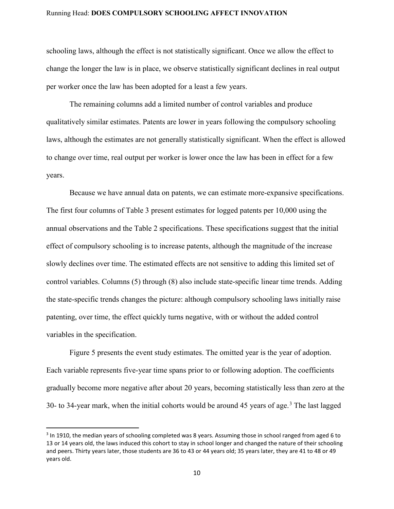schooling laws, although the effect is not statistically significant. Once we allow the effect to change the longer the law is in place, we observe statistically significant declines in real output per worker once the law has been adopted for a least a few years.

The remaining columns add a limited number of control variables and produce qualitatively similar estimates. Patents are lower in years following the compulsory schooling laws, although the estimates are not generally statistically significant. When the effect is allowed to change over time, real output per worker is lower once the law has been in effect for a few years.

Because we have annual data on patents, we can estimate more-expansive specifications. The first four columns of Table 3 present estimates for logged patents per 10,000 using the annual observations and the Table 2 specifications. These specifications suggest that the initial effect of compulsory schooling is to increase patents, although the magnitude of the increase slowly declines over time. The estimated effects are not sensitive to adding this limited set of control variables. Columns (5) through (8) also include state-specific linear time trends. Adding the state-specific trends changes the picture: although compulsory schooling laws initially raise patenting, over time, the effect quickly turns negative, with or without the added control variables in the specification.

Figure 5 presents the event study estimates. The omitted year is the year of adoption. Each variable represents five-year time spans prior to or following adoption. The coefficients gradually become more negative after about 20 years, becoming statistically less than zero at the [3](#page-11-0)0- to 34-year mark, when the initial cohorts would be around 45 years of age.<sup>3</sup> The last lagged

<span id="page-11-0"></span><sup>&</sup>lt;sup>3</sup> In 1910, the median years of schooling completed was 8 years. Assuming those in school ranged from aged 6 to 13 or 14 years old, the laws induced this cohort to stay in school longer and changed the nature of their schooling and peers. Thirty years later, those students are 36 to 43 or 44 years old; 35 years later, they are 41 to 48 or 49 years old.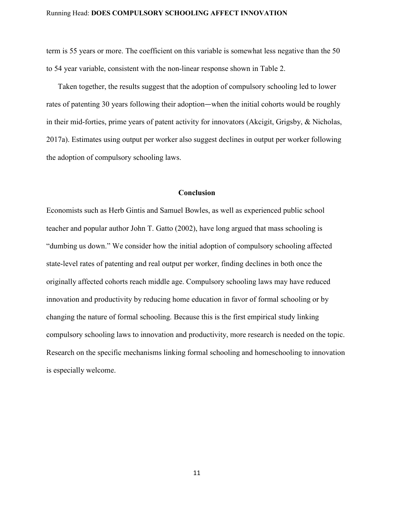term is 55 years or more. The coefficient on this variable is somewhat less negative than the 50 to 54 year variable, consistent with the non-linear response shown in Table 2.

Taken together, the results suggest that the adoption of compulsory schooling led to lower rates of patenting 30 years following their adoption—when the initial cohorts would be roughly in their mid-forties, prime years of patent activity for innovators (Akcigit, Grigsby, & Nicholas, 2017a). Estimates using output per worker also suggest declines in output per worker following the adoption of compulsory schooling laws.

## **Conclusion**

Economists such as Herb Gintis and Samuel Bowles, as well as experienced public school teacher and popular author John T. Gatto (2002), have long argued that mass schooling is "dumbing us down." We consider how the initial adoption of compulsory schooling affected state-level rates of patenting and real output per worker, finding declines in both once the originally affected cohorts reach middle age. Compulsory schooling laws may have reduced innovation and productivity by reducing home education in favor of formal schooling or by changing the nature of formal schooling. Because this is the first empirical study linking compulsory schooling laws to innovation and productivity, more research is needed on the topic. Research on the specific mechanisms linking formal schooling and homeschooling to innovation is especially welcome.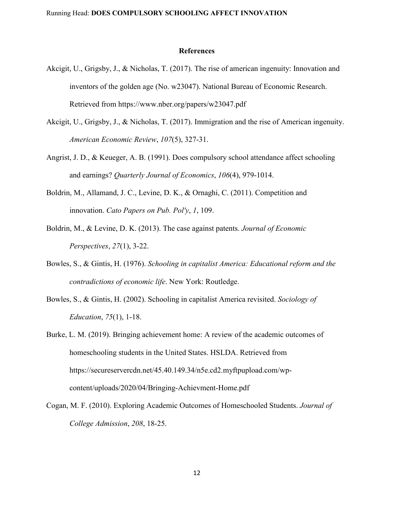#### **References**

- Akcigit, U., Grigsby, J., & Nicholas, T. (2017). The rise of american ingenuity: Innovation and inventors of the golden age (No. w23047). National Bureau of Economic Research. Retrieved from https://www.nber.org/papers/w23047.pdf
- Akcigit, U., Grigsby, J., & Nicholas, T. (2017). Immigration and the rise of American ingenuity. *American Economic Review*, *107*(5), 327-31.
- Angrist, J. D., & Keueger, A. B. (1991). Does compulsory school attendance affect schooling and earnings? *Quarterly Journal of Economics*, *106*(4), 979-1014.
- Boldrin, M., Allamand, J. C., Levine, D. K., & Ornaghi, C. (2011). Competition and innovation. *Cato Papers on Pub. Pol'y*, *1*, 109.
- Boldrin, M., & Levine, D. K. (2013). The case against patents. *Journal of Economic Perspectives*, *27*(1), 3-22.
- Bowles, S., & Gintis, H. (1976). *Schooling in capitalist America: Educational reform and the contradictions of economic life*. New York: Routledge.
- Bowles, S., & Gintis, H. (2002). Schooling in capitalist America revisited. *Sociology of Education*, *75*(1), 1-18.
- Burke, L. M. (2019). Bringing achievement home: A review of the academic outcomes of homeschooling students in the United States. HSLDA. Retrieved from https://secureservercdn.net/45.40.149.34/n5e.cd2.myftpupload.com/wpcontent/uploads/2020/04/Bringing-Achievment-Home.pdf
- Cogan, M. F. (2010). Exploring Academic Outcomes of Homeschooled Students. *Journal of College Admission*, *208*, 18-25.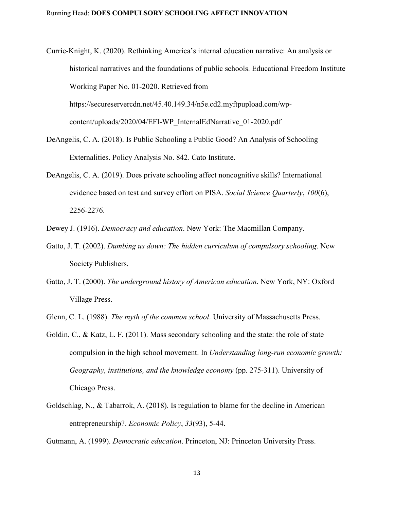- Currie-Knight, K. (2020). Rethinking America's internal education narrative: An analysis or historical narratives and the foundations of public schools. Educational Freedom Institute Working Paper No. 01-2020. Retrieved from https://secureservercdn.net/45.40.149.34/n5e.cd2.myftpupload.com/wpcontent/uploads/2020/04/EFI-WP\_InternalEdNarrative\_01-2020.pdf
- DeAngelis, C. A. (2018). Is Public Schooling a Public Good? An Analysis of Schooling Externalities. Policy Analysis No. 842. Cato Institute.
- DeAngelis, C. A. (2019). Does private schooling affect noncognitive skills? International evidence based on test and survey effort on PISA. *Social Science Quarterly*, *100*(6), 2256-2276.

Dewey J. (1916). *Democracy and education*. New York: The Macmillan Company.

- Gatto, J. T. (2002). *Dumbing us down: The hidden curriculum of compulsory schooling*. New Society Publishers.
- Gatto, J. T. (2000). *The underground history of American education*. New York, NY: Oxford Village Press.
- Glenn, C. L. (1988). *The myth of the common school*. University of Massachusetts Press.
- Goldin, C., & Katz, L. F. (2011). Mass secondary schooling and the state: the role of state compulsion in the high school movement. In *Understanding long-run economic growth: Geography, institutions, and the knowledge economy* (pp. 275-311). University of Chicago Press.
- Goldschlag, N., & Tabarrok, A. (2018). Is regulation to blame for the decline in American entrepreneurship?. *Economic Policy*, *33*(93), 5-44.

Gutmann, A. (1999). *Democratic education*. Princeton, NJ: Princeton University Press.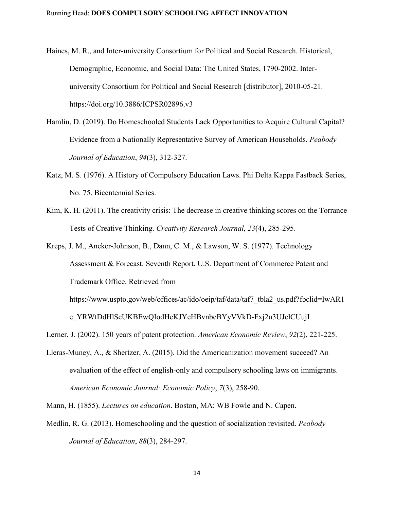- Haines, M. R., and Inter-university Consortium for Political and Social Research. Historical, Demographic, Economic, and Social Data: The United States, 1790-2002. Interuniversity Consortium for Political and Social Research [distributor], 2010-05-21. https://doi.org/10.3886/ICPSR02896.v3
- Hamlin, D. (2019). Do Homeschooled Students Lack Opportunities to Acquire Cultural Capital? Evidence from a Nationally Representative Survey of American Households. *Peabody Journal of Education*, *94*(3), 312-327.
- Katz, M. S. (1976). A History of Compulsory Education Laws. Phi Delta Kappa Fastback Series, No. 75. Bicentennial Series.
- Kim, K. H. (2011). The creativity crisis: The decrease in creative thinking scores on the Torrance Tests of Creative Thinking. *Creativity Research Journal*, *23*(4), 285-295.
- Kreps, J. M., Ancker-Johnson, B., Dann, C. M., & Lawson, W. S. (1977). Technology Assessment & Forecast. Seventh Report. U.S. Department of Commerce Patent and Trademark Office. Retrieved from

https://www.uspto.gov/web/offices/ac/ido/oeip/taf/data/taf7\_tbla2\_us.pdf?fbclid=IwAR1

e\_YRWtDdHlScUKBEwQIodHeKJYeHBvnbeBYyVVkD-Fxj2u3UJclCUujI

Lerner, J. (2002). 150 years of patent protection. *American Economic Review*, *92*(2), 221-225.

Lleras-Muney, A., & Shertzer, A. (2015). Did the Americanization movement succeed? An evaluation of the effect of english-only and compulsory schooling laws on immigrants. *American Economic Journal: Economic Policy*, *7*(3), 258-90.

Mann, H. (1855). *Lectures on education*. Boston, MA: WB Fowle and N. Capen.

Medlin, R. G. (2013). Homeschooling and the question of socialization revisited. *Peabody Journal of Education*, *88*(3), 284-297.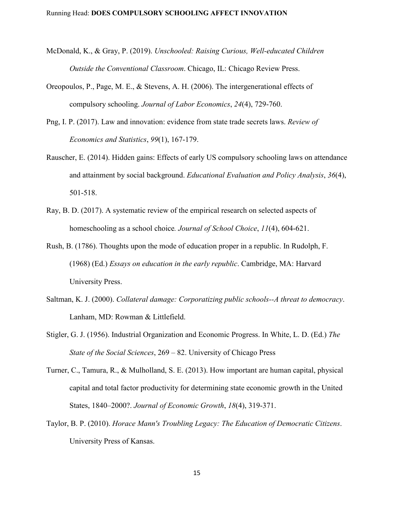- McDonald, K., & Gray, P. (2019). *Unschooled: Raising Curious, Well-educated Children Outside the Conventional Classroom*. Chicago, IL: Chicago Review Press.
- Oreopoulos, P., Page, M. E., & Stevens, A. H. (2006). The intergenerational effects of compulsory schooling. *Journal of Labor Economics*, *24*(4), 729-760.
- Png, I. P. (2017). Law and innovation: evidence from state trade secrets laws. *Review of Economics and Statistics*, *99*(1), 167-179.
- Rauscher, E. (2014). Hidden gains: Effects of early US compulsory schooling laws on attendance and attainment by social background. *Educational Evaluation and Policy Analysis*, *36*(4), 501-518.
- Ray, B. D. (2017). A systematic review of the empirical research on selected aspects of homeschooling as a school choice*. Journal of School Choice*, *11*(4), 604-621.
- Rush, B. (1786). Thoughts upon the mode of education proper in a republic. In Rudolph, F. (1968) (Ed.) *Essays on education in the early republic*. Cambridge, MA: Harvard University Press.
- Saltman, K. J. (2000). *Collateral damage: Corporatizing public schools--A threat to democracy*. Lanham, MD: Rowman & Littlefield.
- Stigler, G. J. (1956). Industrial Organization and Economic Progress. In White, L. D. (Ed.) *The State of the Social Sciences*, 269 – 82. University of Chicago Press
- Turner, C., Tamura, R., & Mulholland, S. E. (2013). How important are human capital, physical capital and total factor productivity for determining state economic growth in the United States, 1840–2000?. *Journal of Economic Growth*, *18*(4), 319-371.
- Taylor, B. P. (2010). *Horace Mann's Troubling Legacy: The Education of Democratic Citizens*. University Press of Kansas.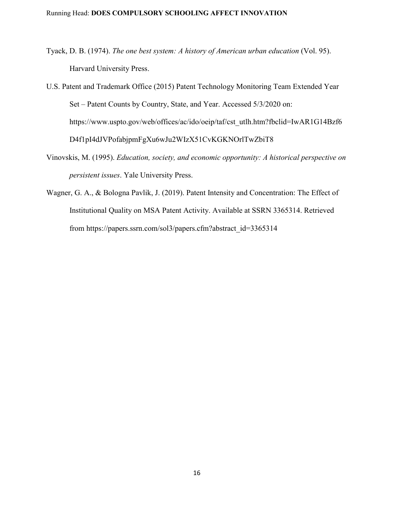- Tyack, D. B. (1974). *The one best system: A history of American urban education* (Vol. 95). Harvard University Press.
- U.S. Patent and Trademark Office (2015) Patent Technology Monitoring Team Extended Year Set – Patent Counts by Country, State, and Year. Accessed 5/3/2020 on: https://www.uspto.gov/web/offices/ac/ido/oeip/taf/cst\_utlh.htm?fbclid=IwAR1G14Bzf6 D4f1pI4dJVPofabjpmFgXu6wJu2WIzX51CvKGKNOrlTwZbiT8
- Vinovskis, M. (1995). *Education, society, and economic opportunity: A historical perspective on persistent issues*. Yale University Press.
- Wagner, G. A., & Bologna Pavlik, J. (2019). Patent Intensity and Concentration: The Effect of Institutional Quality on MSA Patent Activity. Available at SSRN 3365314. Retrieved from https://papers.ssrn.com/sol3/papers.cfm?abstract\_id=3365314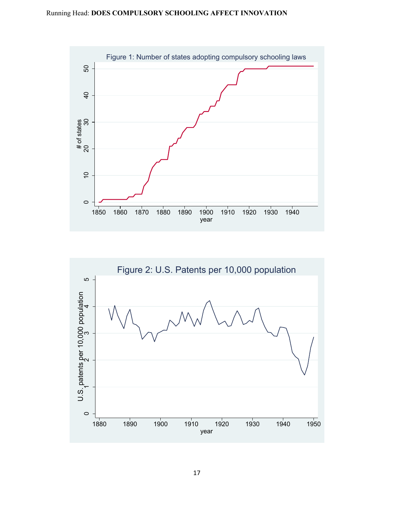

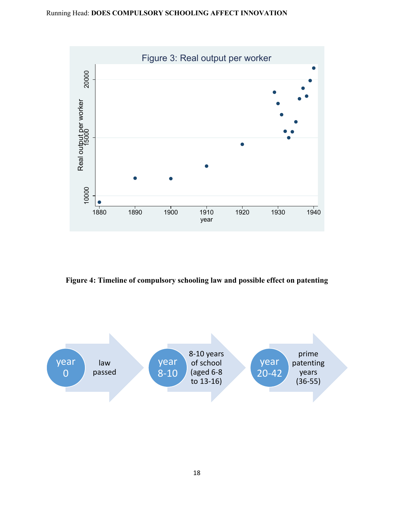

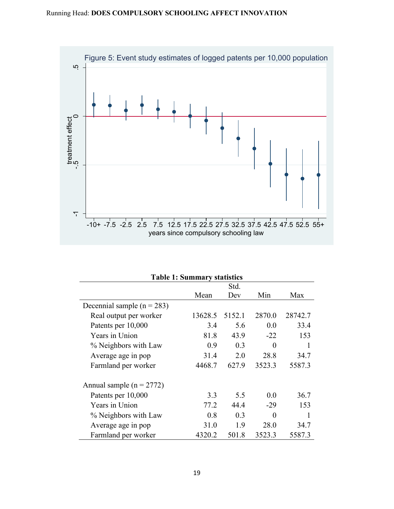

| <b>Table 1: Summary statistics</b> |         |        |        |         |  |  |  |  |
|------------------------------------|---------|--------|--------|---------|--|--|--|--|
|                                    | Std.    |        |        |         |  |  |  |  |
|                                    | Mean    | Dev    | Min    | Max     |  |  |  |  |
| Decennial sample $(n = 283)$       |         |        |        |         |  |  |  |  |
| Real output per worker             | 13628.5 | 5152.1 | 2870.0 | 28742.7 |  |  |  |  |
| Patents per 10,000                 | 3.4     | 5.6    | 0.0    | 33.4    |  |  |  |  |
| Years in Union                     | 81.8    | 43.9   | $-22$  | 153     |  |  |  |  |
| % Neighbors with Law               | 0.9     | 0.3    | 0      | 1       |  |  |  |  |
| Average age in pop                 | 31.4    | 2.0    | 28.8   | 34.7    |  |  |  |  |
| Farmland per worker                | 4468.7  | 627.9  | 3523.3 | 5587.3  |  |  |  |  |
| Annual sample ( $n = 2772$ )       |         |        |        |         |  |  |  |  |
| Patents per 10,000                 | 3.3     | 5.5    | 0.0    | 36.7    |  |  |  |  |
| Years in Union                     | 77.2    | 44.4   | $-29$  | 153     |  |  |  |  |
| % Neighbors with Law               | 0.8     | 0.3    | 0      |         |  |  |  |  |
| Average age in pop                 | 31.0    | 1.9    | 28.0   | 34.7    |  |  |  |  |
| Farmland per worker                | 4320.2  | 501.8  | 3523.3 | 5587.3  |  |  |  |  |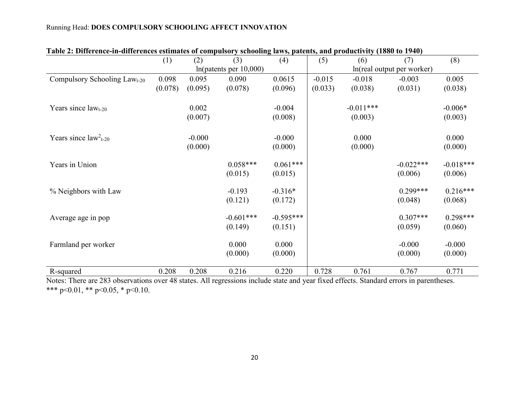| Table 2. Difference-in-unterences estimates of computsory schooling laws, patents, and productivity (1000 to 1740) |         |                            |             |             |                            |             |             |             |  |
|--------------------------------------------------------------------------------------------------------------------|---------|----------------------------|-------------|-------------|----------------------------|-------------|-------------|-------------|--|
|                                                                                                                    | (1)     | (2)                        | (3)         | (4)         | (5)                        | (6)         | (7)         | (8)         |  |
|                                                                                                                    |         | $ln(p$ atents per $10,000$ |             |             | ln(real output per worker) |             |             |             |  |
| Compulsory Schooling $Lawt-20$                                                                                     | 0.098   | 0.095                      | 0.090       | 0.0615      | $-0.015$                   | $-0.018$    | $-0.003$    | 0.005       |  |
|                                                                                                                    | (0.078) | (0.095)                    | (0.078)     | (0.096)     | (0.033)                    | (0.038)     | (0.031)     | (0.038)     |  |
| Years since $lawt-20$                                                                                              |         | 0.002                      |             | $-0.004$    |                            | $-0.011***$ |             | $-0.006*$   |  |
|                                                                                                                    |         | (0.007)                    |             | (0.008)     |                            | (0.003)     |             | (0.003)     |  |
| Years since $law2t-20$                                                                                             |         | $-0.000$                   |             | $-0.000$    |                            | 0.000       |             | 0.000       |  |
|                                                                                                                    |         | (0.000)                    |             | (0.000)     |                            | (0.000)     |             | (0.000)     |  |
| Years in Union                                                                                                     |         |                            | $0.058***$  | $0.061***$  |                            |             | $-0.022***$ | $-0.018***$ |  |
|                                                                                                                    |         |                            | (0.015)     | (0.015)     |                            |             | (0.006)     | (0.006)     |  |
| % Neighbors with Law                                                                                               |         |                            | $-0.193$    | $-0.316*$   |                            |             | $0.299***$  | $0.216***$  |  |
|                                                                                                                    |         |                            | (0.121)     | (0.172)     |                            |             | (0.048)     | (0.068)     |  |
| Average age in pop                                                                                                 |         |                            | $-0.601***$ | $-0.595***$ |                            |             | $0.307***$  | $0.298***$  |  |
|                                                                                                                    |         |                            | (0.149)     | (0.151)     |                            |             | (0.059)     | (0.060)     |  |
| Farmland per worker                                                                                                |         |                            | 0.000       | 0.000       |                            |             | $-0.000$    | $-0.000$    |  |
|                                                                                                                    |         |                            | (0.000)     | (0.000)     |                            |             | (0.000)     | (0.000)     |  |
| R-squared                                                                                                          | 0.208   | 0.208                      | 0.216       | 0.220       | 0.728                      | 0.761       | 0.767       | 0.771       |  |

## **Table 2: Difference-in-differences estimates of compulsory schooling laws, patents, and productivity (1880 to 1940)**

Notes: There are 283 observations over 48 states. All regressions include state and year fixed effects. Standard errors in parentheses. \*\*\* p<0.01, \*\* p<0.05, \* p<0.10.